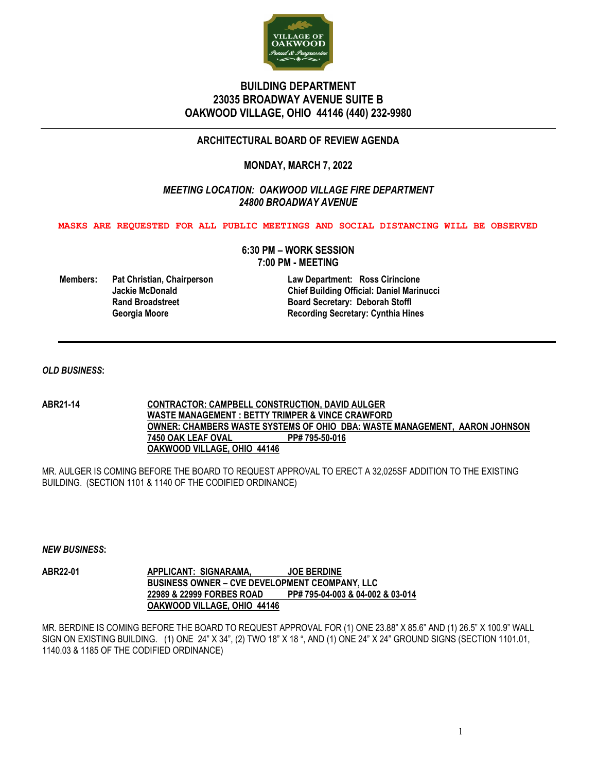

# **BUILDING DEPARTMENT 23035 BROADWAY AVENUE SUITE B OAKWOOD VILLAGE, OHIO 44146 (440) 232-9980**

## **ARCHITECTURAL BOARD OF REVIEW AGENDA**

## **MONDAY, MARCH 7, 2022**

## *MEETING LOCATION: OAKWOOD VILLAGE FIRE DEPARTMENT 24800 BROADWAY AVENUE*

**MASKS ARE REQUESTED FOR ALL PUBLIC MEETINGS AND SOCIAL DISTANCING WILL BE OBSERVED**

**6:30 PM – WORK SESSION 7:00 PM - MEETING**

**Members: Pat Christian, Chairperson Law Department: Ross Cirincione**

**Jackie McDonald Chief Building Official: Daniel Marinucci Rand Broadstreet**<br> **Recording Secretary: Deborah Stoffl**<br> **Recording Secretary: Cynthia Hin**<br> **Recording Secretary: Cynthia Hin Georgia Moore Recording Secretary: Cynthia Hines**

### *OLD BUSINESS***:**

**ABR21-14 CONTRACTOR: CAMPBELL CONSTRUCTION, DAVID AULGER WASTE MANAGEMENT : BETTY TRIMPER & VINCE CRAWFORD OWNER: CHAMBERS WASTE SYSTEMS OF OHIO DBA: WASTE MANAGEMENT, AARON JOHNSON 7450 OAK LEAF OVAL PP# 795-50-016 OAKWOOD VILLAGE, OHIO 44146**

MR. AULGER IS COMING BEFORE THE BOARD TO REQUEST APPROVAL TO ERECT A 32,025SF ADDITION TO THE EXISTING BUILDING. (SECTION 1101 & 1140 OF THE CODIFIED ORDINANCE)

### *NEW BUSINESS***:**

**ABR22-01 APPLICANT: SIGNARAMA, JOE BERDINE BUSINESS OWNER – CVE DEVELOPMENT CEOMPANY, LLC 22989 & 22999 FORBES ROAD PP# 795-04-003 & 04-002 & 03-014 OAKWOOD VILLAGE, OHIO 44146**

MR. BERDINE IS COMING BEFORE THE BOARD TO REQUEST APPROVAL FOR (1) ONE 23.88" X 85.6" AND (1) 26.5" X 100.9" WALL SIGN ON EXISTING BUILDING. (1) ONE 24" X 34", (2) TWO 18" X 18 ", AND (1) ONE 24" X 24" GROUND SIGNS (SECTION 1101.01, 1140.03 & 1185 OF THE CODIFIED ORDINANCE)